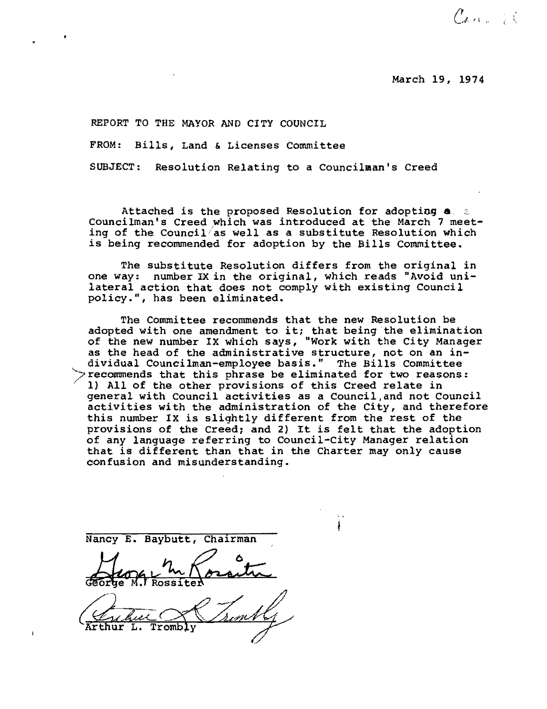March 19, 1974

 $\mathcal{C}$ .  $\mathcal{C}$ 

REPORT TO THE MAYOR AND CITY COUNCIL

FROM: Bills, Land & Licenses Committee

SUBJECT: Resolution Relating to a Councilman's Creed

Attached is the proposed Resolution for adopting a. a. Councilman's Creed which was introduced at the March 7 meeting of the Council/as well as a substitute Resolution which is being recommended for adoption by the Bills Committee.

The substitute Resolution differs from the original in one way: number IX in the original, which reads "Avoid unilateral action that does not comply with existing Council policy.", has been eliminated.

The Committee recommends that the new Resolution be adopted with one amendment to it; that being the elimination of the new number IX which says, "Work with the City Manager as the head of the administrative structure, not on an individual Councilman-employee basis." The Bills Committee  $>$  recommends that this phrase be eliminated for two reasons: 1) All of the other provisions of this Creed relate in general with Council activities as a Council,and not Council activities with the administration of the City, and therefore this number IX is slightly different from the rest of the provisions of the Creed; and 2) It is felt that the adoption of any language referring to Council-City Manager relation that is different than that in the Charter may only cause confusion and misunderstanding.

Nancy E. Baybutt, Chairman Rossiter Arthur L.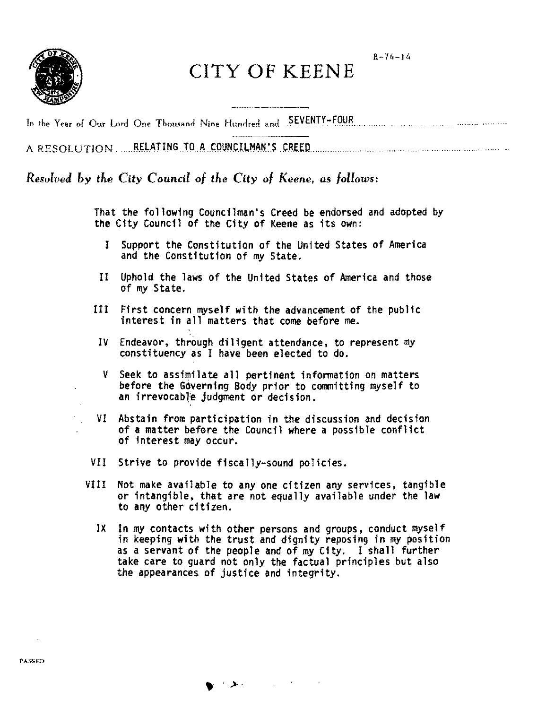$R - 74 - 14$ 



## CITY OF KEENE

|  | In the Year of Our Lord One Thousand Nine Hundred and SEVENTY-FOUR |
|--|--------------------------------------------------------------------|
|  |                                                                    |
|  |                                                                    |

*Resolved hy the City Council* of *the City* of *Keene, as follows:* 

That the following Councilman's Creed be endorsed and adopted by the City Council of the City of Keene as its own:

- I Support the Constitution of the United States of America and the Constitution of my State.
- II Uphold the laws of the United States of America and those of my State.
- III First concern myself with the advancement of the public interest in all matters that come before me.
- IV Endeavor, through diligent attendance. to represent my constituency as I have been elected to do.
- V Seek to assimilate all pertinent information on matters before the Governing Body prior to committing myself to an irrevocable judgment or decision.
- VI Abstain from participation in the discussion and decision of a matter before the Council where a possible conflict of interest may occur.
- VII Strive to provide fiscally-sound policies.
- VIII Not make available to anyone citizen any services. tangible or intangible. that are not equally available under the law to any other citizen.
	- IX In my contacts with other persons and groups, conduct myself in keeping with the trust and dignity reposing in my position as a servant of the people and of my City. I shall further take care to guard not only the factual principles but also the appearances of justice and integrity.